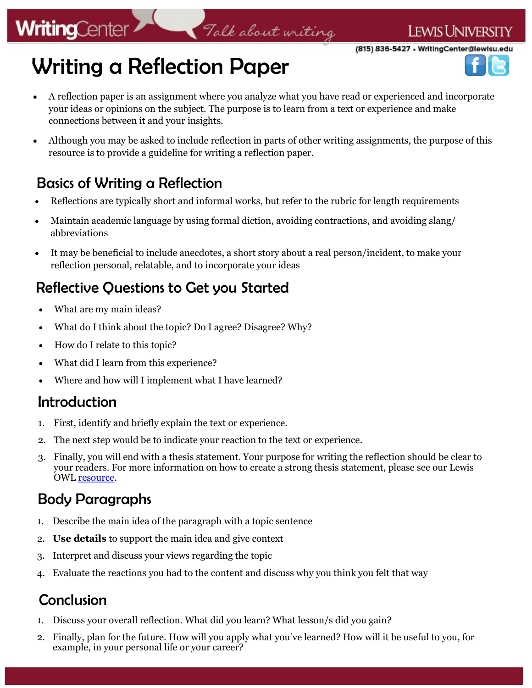(815) 836-5427 · WritingCenter@lewisu.edu

# Writing a Reflection Paper

• A reflection paper is an assignment where you analyze what you have read or experienced and incorporate your ideas or opinions on the subject. The purpose is to learn from a text or experience and make connections between it and your insights.

Talk about writing

• Although you may be asked to include reflection in parts of other writing assignments, the purpose of this resource is to provide a guideline for writing a reflection paper.

### Basics of Writing a Reflection

- Reflections are typically short and informal works, but refer to the rubric for length requirements
- Maintain academic language by using formal diction, avoiding contractions, and avoiding slang/ abbreviations
- It may be beneficial to include anecdotes, a short story about a real person/incident, to make your reflection personal, relatable, and to incorporate your ideas

### Reflective Questions to Get you Started

- What are my main ideas?
- What do I think about the topic? Do I agree? Disagree? Why?
- How do I relate to this topic?
- What did I learn from this experience?
- Where and how will I implement what I have learned?

#### Introduction

**WritingCenter** 

- 1. First, identify and briefly explain the text or experience.
- 2. The next step would be to indicate your reaction to the text or experience.
- 3. Finally, you will end with a thesis statement. Your purpose for writing the reflection should be clear to your readers. For more information on how to create a strong thesis statement, please see our Lewis OWL **resource**.

## Body Paragraphs

- 1. Describe the main idea of the paragraph with a topic sentence
- 2. **Use details** to support the main idea and give context
- 3. Interpret and discuss your views regarding the topic
- 4. Evaluate the reactions you had to the content and discuss why you think you felt that way

## Conclusion

- 1. Discuss your overall reflection. What did you learn? What lesson/s did you gain?
- 2. Finally, plan for the future. How will you apply what you've learned? How will it be useful to you, for example, in your personal life or your career?